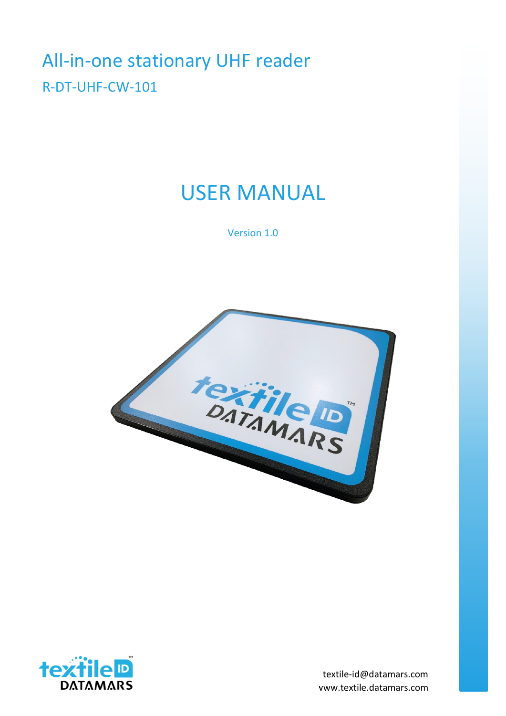# All-in-one stationary UHF reader R-DT-UHF-CW-101

# USER MANUAL

Version 1.0





www.textile.datamars.com textile-id@datamars.com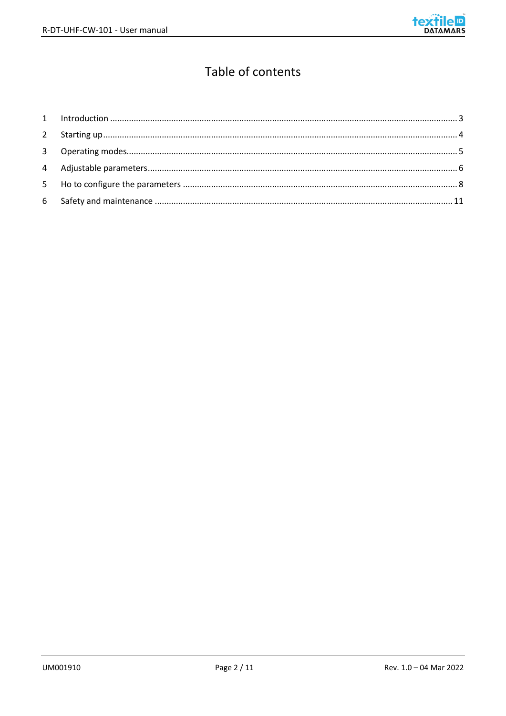

# Table of contents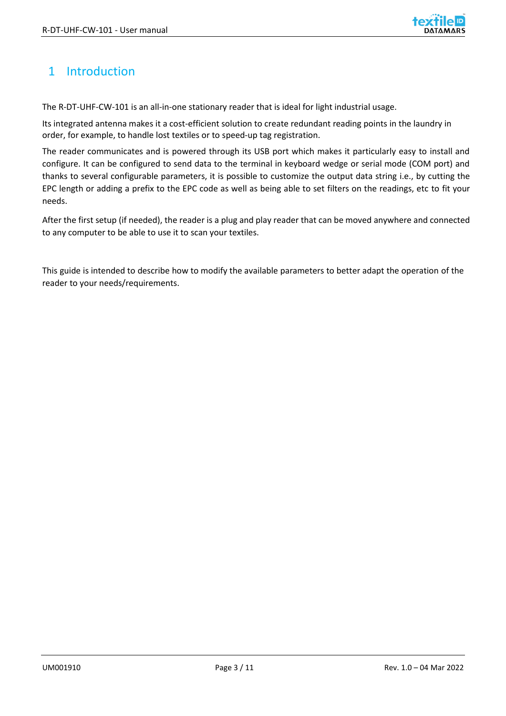

## <span id="page-2-0"></span>1 Introduction

The R-DT-UHF-CW-101 is an all-in-one stationary reader that is ideal for light industrial usage.

Its integrated antenna makes it a cost-efficient solution to create redundant reading points in the laundry in order, for example, to handle lost textiles or to speed-up tag registration.

The reader communicates and is powered through its USB port which makes it particularly easy to install and configure. It can be configured to send data to the terminal in keyboard wedge or serial mode (COM port) and thanks to several configurable parameters, it is possible to customize the output data string i.e., by cutting the EPC length or adding a prefix to the EPC code as well as being able to set filters on the readings, etc to fit your needs.

After the first setup (if needed), the reader is a plug and play reader that can be moved anywhere and connected to any computer to be able to use it to scan your textiles.

This guide is intended to describe how to modify the available parameters to better adapt the operation of the reader to your needs/requirements.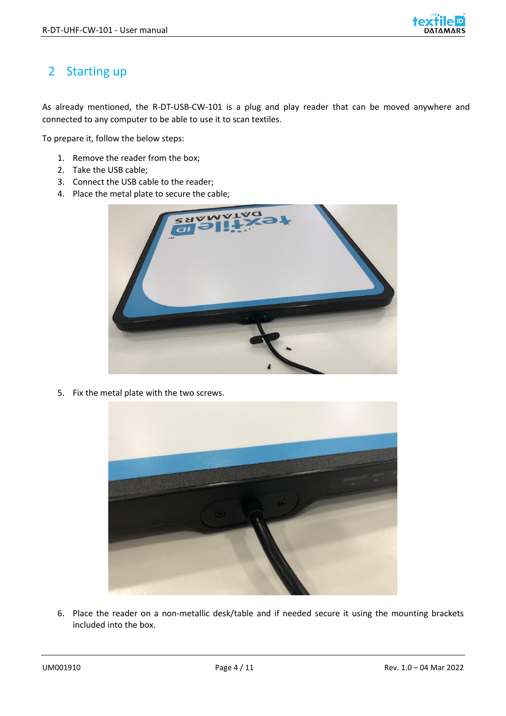

# <span id="page-3-0"></span>2 Starting up

As already mentioned, the R-DT-USB-CW-101 is a plug and play reader that can be moved anywhere and connected to any computer to be able to use it to scan textiles.

To prepare it, follow the below steps:

- 1. Remove the reader from the box;
- 2. Take the USB cable;
- 3. Connect the USB cable to the reader;
- 4. Place the metal plate to secure the cable;



5. Fix the metal plate with the two screws.



6. Place the reader on a non-metallic desk/table and if needed secure it using the mounting brackets included into the box.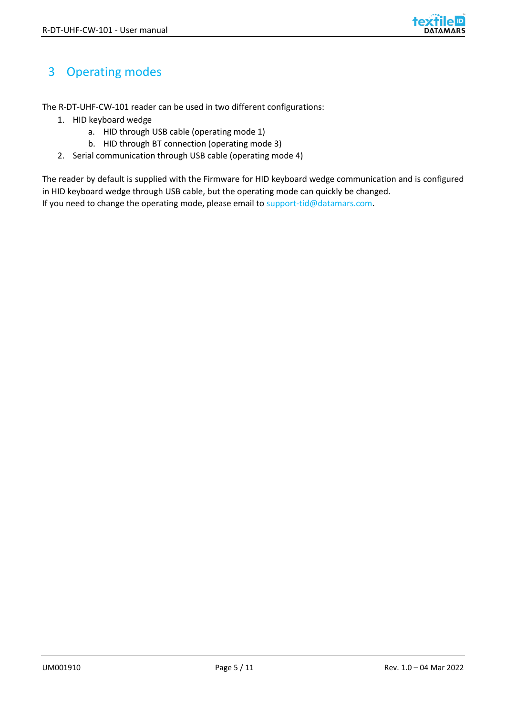

# <span id="page-4-0"></span>3 Operating modes

The R-DT-UHF-CW-101 reader can be used in two different configurations:

- 1. HID keyboard wedge
	- a. HID through USB cable (operating mode 1)
	- b. HID through BT connection (operating mode 3)
- 2. Serial communication through USB cable (operating mode 4)

The reader by default is supplied with the Firmware for HID keyboard wedge communication and is configured in HID keyboard wedge through USB cable, but the operating mode can quickly be changed. If you need to change the operating mode, please email to support-tid@datamars.com.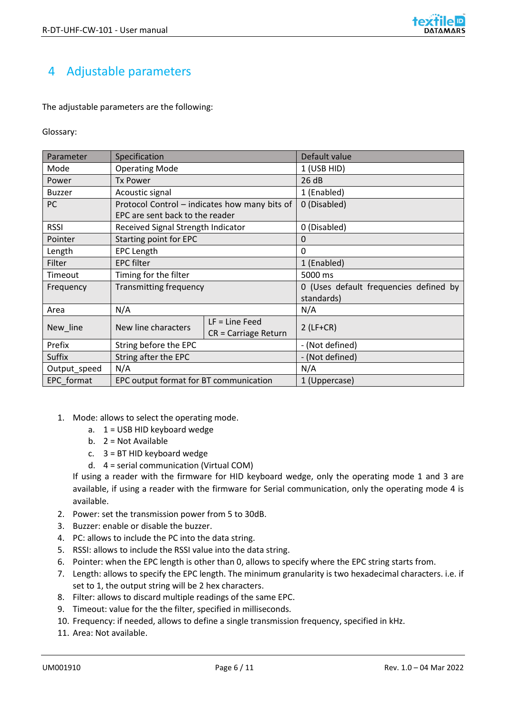# <span id="page-5-0"></span>4 Adjustable parameters

The adjustable parameters are the following:

#### Glossary:

| Parameter     | Specification                          |                                               | Default value                          |  |  |  |
|---------------|----------------------------------------|-----------------------------------------------|----------------------------------------|--|--|--|
| Mode          | <b>Operating Mode</b>                  |                                               | 1 (USB HID)                            |  |  |  |
| Power         | <b>Tx Power</b>                        |                                               | 26 dB                                  |  |  |  |
| <b>Buzzer</b> | Acoustic signal                        |                                               | 1 (Enabled)                            |  |  |  |
| PC            |                                        | Protocol Control – indicates how many bits of | 0 (Disabled)                           |  |  |  |
|               | EPC are sent back to the reader        |                                               |                                        |  |  |  |
| <b>RSSI</b>   | Received Signal Strength Indicator     |                                               | 0 (Disabled)                           |  |  |  |
| Pointer       | Starting point for EPC                 |                                               | 0                                      |  |  |  |
| Length        | <b>EPC Length</b>                      |                                               | 0                                      |  |  |  |
| Filter        | <b>EPC filter</b>                      |                                               | 1 (Enabled)                            |  |  |  |
| Timeout       | Timing for the filter                  |                                               | 5000 ms                                |  |  |  |
| Frequency     | <b>Transmitting frequency</b>          |                                               | 0 (Uses default frequencies defined by |  |  |  |
|               |                                        |                                               | standards)                             |  |  |  |
| Area          | N/A                                    |                                               | N/A                                    |  |  |  |
| New_line      | New line characters                    | $LF = Line Feed$                              | $2$ (LF+CR)                            |  |  |  |
|               |                                        | $CR = Carriage Return$                        |                                        |  |  |  |
| Prefix        | String before the EPC                  |                                               | - (Not defined)                        |  |  |  |
| Suffix        | String after the EPC                   |                                               | - (Not defined)                        |  |  |  |
| Output_speed  | N/A                                    |                                               | N/A                                    |  |  |  |
| EPC format    | EPC output format for BT communication |                                               | 1 (Uppercase)                          |  |  |  |

- 1. Mode: allows to select the operating mode.
	- a. 1 = USB HID keyboard wedge
	- b. 2 = Not Available
	- c. 3 = BT HID keyboard wedge
	- d. 4 = serial communication (Virtual COM)

If using a reader with the firmware for HID keyboard wedge, only the operating mode 1 and 3 are available, if using a reader with the firmware for Serial communication, only the operating mode 4 is available.

- 2. Power: set the transmission power from 5 to 30dB.
- 3. Buzzer: enable or disable the buzzer.
- 4. PC: allows to include the PC into the data string.
- 5. RSSI: allows to include the RSSI value into the data string.
- 6. Pointer: when the EPC length is other than 0, allows to specify where the EPC string starts from.
- 7. Length: allows to specify the EPC length. The minimum granularity is two hexadecimal characters. i.e. if set to 1, the output string will be 2 hex characters.
- 8. Filter: allows to discard multiple readings of the same EPC.
- 9. Timeout: value for the the filter, specified in milliseconds.
- 10. Frequency: if needed, allows to define a single transmission frequency, specified in kHz.
- 11. Area: Not available.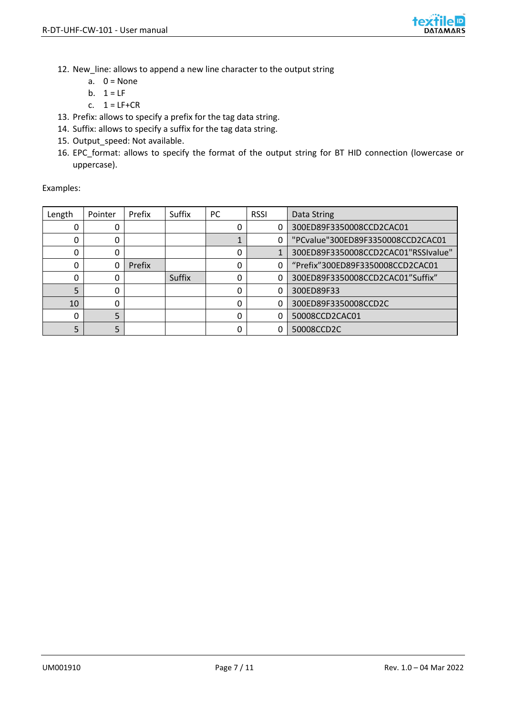

- 12. New\_line: allows to append a new line character to the output string
	- a.  $0 = \text{None}$
	- b.  $1 = LF$
	- c.  $1 = LF + CR$
- 13. Prefix: allows to specify a prefix for the tag data string.
- 14. Suffix: allows to specify a suffix for the tag data string.
- 15. Output\_speed: Not available.
- 16. EPC\_format: allows to specify the format of the output string for BT HID connection (lowercase or uppercase).

Examples:

| Length | Pointer | Prefix | Suffix | PC. | <b>RSSI</b> | Data String                         |
|--------|---------|--------|--------|-----|-------------|-------------------------------------|
| 0      |         |        |        |     |             | 300ED89F3350008CCD2CAC01            |
| 0      |         |        |        |     |             | "PCvalue"300ED89F3350008CCD2CAC01   |
| 0      | 0       |        |        | 0   |             | 300ED89F3350008CCD2CAC01"RSSIvalue" |
| 0      | 0       | Prefix |        | 0   |             | "Prefix"300ED89F3350008CCD2CAC01    |
| 0      |         |        | Suffix | 0   |             | 300ED89F3350008CCD2CAC01"Suffix"    |
| 5      | ი       |        |        | ი   |             | 300ED89F33                          |
| 10     | ი       |        |        | 0   |             | 300ED89F3350008CCD2C                |
| 0      | 5       |        |        | ი   |             | 50008CCD2CAC01                      |
| 5      | 5       |        |        | ი   |             | 50008CCD2C                          |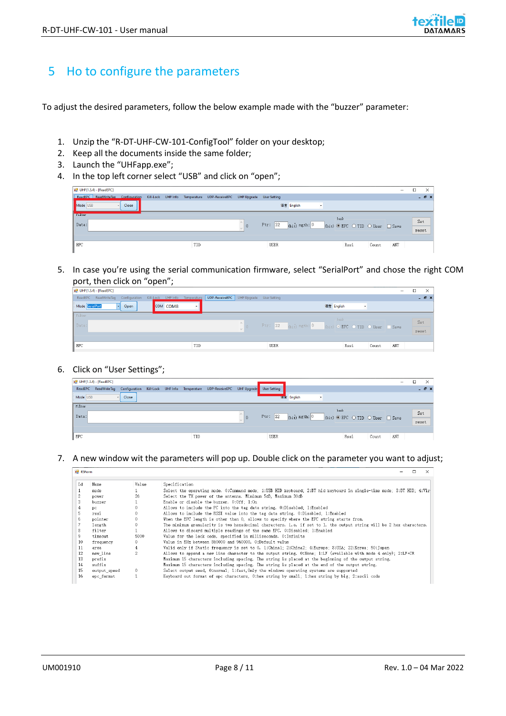## <span id="page-7-0"></span>5 Ho to configure the parameters

To adjust the desired parameters, follow the below example made with the "buzzer" parameter:

- 1. Unzip the "R-DT-UHF-CW-101-ConfigTool" folder on your desktop;
- 2. Keep all the documents inside the same folder;
- 3. Launch the "UHFapp.exe";
- 4. In the top left corner select "USB" and click on "open";

| $\overline{u}$ UHF(1.3.4) - [ReadEPC] |                                                                        |             |                               |                                       |      |       | $\qquad \qquad \blacksquare$ | о | ×            |
|---------------------------------------|------------------------------------------------------------------------|-------------|-------------------------------|---------------------------------------|------|-------|------------------------------|---|--------------|
| ReadEPC ReadWriteTag Configuration    | Kill-Lock UHF Info Temperature UDP-ReceiveEPC UHF Upgrade User Setting |             |                               |                                       |      |       |                              |   | $   \times$  |
| Mode USB<br>Close                     |                                                                        |             | 语言 English                    | $\overline{\phantom{a}}$              |      |       |                              |   |              |
| <b>Foulter</b><br>Data:               |                                                                        | Ptr: 32     | $_{\text{(bit)}}$ ngth: $ 0 $ | bank<br>(bit) O EPC O TID O User Save |      |       |                              |   | Set<br>reset |
| EPC                                   | TID                                                                    | <b>USER</b> |                               |                                       | Rssi | Count | ANT                          |   |              |

5. In case you're using the serial communication firmware, select "SerialPort" and chose the right COM port, then click on "open";

| $p = UHH(1.3.4) - [ReadEPC]$                                                                              |                            | -                                                   | X                  |
|-----------------------------------------------------------------------------------------------------------|----------------------------|-----------------------------------------------------|--------------------|
| ReadEPC ReadWriteTag Configuration Kill-Lock UHF Info Temperature UDP-ReceiveEPC UHF Upgrade User Setting |                            |                                                     | $ \theta$ $\times$ |
| Mode SerialPort<br>COM COM8<br>Open<br>l.                                                                 |                            | 语言 English<br>$\mathbf{r}$                          |                    |
| Filter                                                                                                    |                            | bank                                                |                    |
| Data:                                                                                                     | $\mathcal{L}_{\mathbf{r}}$ | Ptr: 32 (bit) ngth: 0 (bit) O EPC O TID O User Save | Set                |
|                                                                                                           |                            |                                                     | reset              |
|                                                                                                           |                            |                                                     |                    |
| EPC                                                                                                       | TID<br><b>USER</b>         | ANT<br>Rssi<br>Count                                |                    |
|                                                                                                           |                            |                                                     |                    |

#### 6. Click on "User Settings";

|                 | <b>DE UHF(1.3.4) - [ReadEPC]</b> |       |                                                                                   |  |     |                                                                                                           |             |            |         |      |       | -   | о | X                  |
|-----------------|----------------------------------|-------|-----------------------------------------------------------------------------------|--|-----|-----------------------------------------------------------------------------------------------------------|-------------|------------|---------|------|-------|-----|---|--------------------|
|                 |                                  |       |                                                                                   |  |     | ReadEPC ReadWriteTag Configuration Kill-Lock UHF Info Temperature UDP-ReceiveEPC UHF Upgrade User Setting |             |            |         |      |       |     |   | $ \theta$ $\times$ |
| Mode USB        | <b>A</b>                         | Close |                                                                                   |  |     |                                                                                                           |             | 语言 English | $\cdot$ |      |       |     |   |                    |
| Filter          |                                  |       |                                                                                   |  |     |                                                                                                           |             |            | bank    |      |       |     |   |                    |
| Data:           |                                  |       |                                                                                   |  |     |                                                                                                           |             |            |         |      |       |     |   | Set                |
|                 |                                  |       | Ptr: $32$ (bit) ngth: 0<br>(bit) $\odot$ EPC $\odot$ TID $\odot$ User $\Box$ Save |  |     |                                                                                                           |             |            | reset   |      |       |     |   |                    |
|                 |                                  |       |                                                                                   |  |     |                                                                                                           |             |            |         |      |       |     |   |                    |
| $\parallel$ EPC |                                  |       |                                                                                   |  | TID |                                                                                                           | <b>USER</b> |            |         | Rssi | Count | ANT |   |                    |

#### 7. A new window wit the parameters will pop up. Double click on the parameter you want to adjust;

| <b>R5Form</b> |              |       | л<br><b>X</b>                                                                                                         |
|---------------|--------------|-------|-----------------------------------------------------------------------------------------------------------------------|
| Id            | Name         | Value | Specification                                                                                                         |
|               | mode         |       | Select the operating mode. 0:Command mode: 1:USB HID keyboard: 2:BT hid keyboard in single-time mode: 3:BT HID: 4:Vir |
|               | power        | 26    | Select the TX power of the antenna. Minimum 5dB, Maximum 30dB                                                         |
| 3             | buzzer       |       | Enable or disable the buzzer. 0:0ff: 1:0n                                                                             |
|               | pc.          | 0     | Allows to include the PC into the tag data string. 0:Disabled: 1:Enabled                                              |
|               | rssi         |       | Allows to include the RSSI value into the tag data string. 0:Disabled: 1:Enabled                                      |
| 6             | pointer      |       | When the EPC length is other than 0, allows to specify where the EPC string starts from.                              |
|               | length       | 0.    | The minimum granularity is two hexadecimal characters, i.e. if set to 1, the output string will be 2 hex characters.  |
| 8             | filter       |       | Allows to discard multiple readings of the same EPC. 0:Disabled: 1:Enabled                                            |
| 9             | timeout      | 5000  | Value for the lock code, specified in milliseconds. 0:Infinite                                                        |
| 10            | frequency    | 0.    | Value in KHz between 860000 and 960000. O:Default value                                                               |
| 11            | area         | 4     | Valid only if Static frequency is set to 0. 1:China1; 2:China2; 4:Europe; 8:USA; 22:Korea; 50:Japan                   |
| 12            | new line     | 2     | Allows to append a new line character to the output string. 0:None: 1:LF (available with mode 4 only); 2:LF+CR        |
| 13            | prefix       |       | Maximum 15 characters including spacing. The string is placed at the beginning of the output string.                  |
| 14            | suffix       |       | Maximum 15 characters including spacing. The string is placed at the end of the output string.                        |
| 15            | output speed | 0     | Select output seed, 0:normal: 1:fast, Only the windows operating systems are supported                                |
| 16            | epc format   |       | Keyboard out format of epc characters, 0. hex string by small: 1. hex string by big: 2. ascii code                    |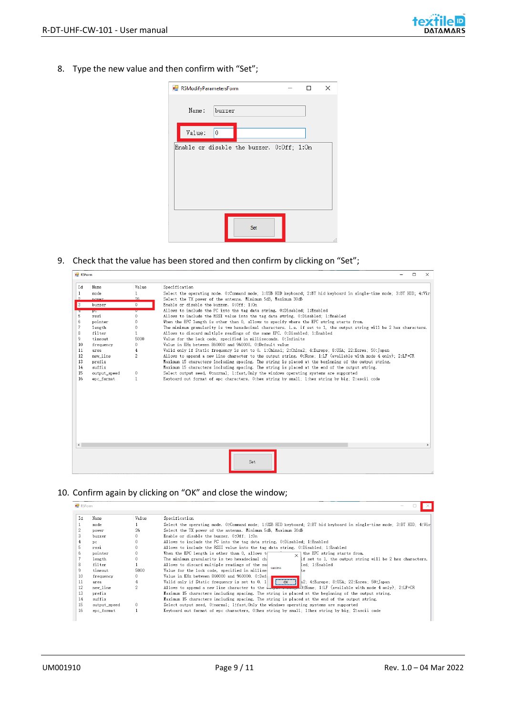8. Type the new value and then confirm with "Set";

| R5ModifyParametersForm |                |                                           |  | ×  |
|------------------------|----------------|-------------------------------------------|--|----|
| Name:                  | buzzer         |                                           |  |    |
| Value:                 | $\overline{0}$ |                                           |  |    |
|                        |                | Enable or disable the buzzer. 0:Off; 1:On |  |    |
|                        |                | Set                                       |  | a, |

9. Check that the value has been stored and then confirm by clicking on "Set";

| ■ R5Form       |              |              | $\Box$<br>$\times$                                                                                                    |
|----------------|--------------|--------------|-----------------------------------------------------------------------------------------------------------------------|
| Id             | Name         | Value        | Specification                                                                                                         |
| $\mathbf{1}$   | mode         | $\mathbf{1}$ | Select the operating mode. 0:Command mode: 1:USB HID keyboard: 2:BT hid keyboard in single-time mode: 3:BT HID: 4:Vir |
| $\Omega$       | nower        | 26           | Select the TX power of the antenna. Minimum 5dB, Maximum 30dB                                                         |
| $\vert$ 3      | buzzer       | $\mathbf{0}$ | Enable or disable the buzzer. 0:0ff: 1:0n                                                                             |
|                | pe           | U            | Allows to include the PC into the tag data string, 0:Disabled: 1:Enabled                                              |
| 5              | rssi         | 0            | Allows to include the RSSI value into the tag data string. 0:Disabled: 1:Enabled                                      |
| 6              | pointer      | 0            | When the EPC length is other than 0, allows to specify where the EPC string starts from.                              |
| $\overline{7}$ | length       | 0.           | The minimum granularity is two hexadecimal characters, i.e. if set to 1, the output string will be 2 hex characters.  |
| 8              | filter       | $\mathbf{1}$ | Allows to discard multiple readings of the same EPC. 0:Disabled: 1:Enabled                                            |
| 9              | timeout      | 5000         | Value for the lock code, specified in milliseconds. 0: Infinite                                                       |
| 10             | frequency    | 0            | Value in KHz between 860000 and 960000. 0:Default value                                                               |
| 11             | area         | 4            | Valid only if Static frequency is set to 0. 1:Chinal; 2:China2; 4:Europe; 8:USA; 22:Korea; 50:Japan                   |
| 12             | new line     | 2            | Allows to append a new line character to the output string. 0.None: 1:LF (available with mode 4 only): 2:LF+CR        |
| 13             | prefix       |              | Maximum 15 characters including spacing. The string is placed at the beginning of the output string.                  |
| 14             | suffix       |              | Maximum 15 characters including spacing. The string is placed at the end of the output string.                        |
| 15             | output speed | $\theta$     | Select output seed. 0:normal: 1:fast. Only the windows operating systems are supported                                |
| 16             | epc format   | $\mathbf{1}$ | Keyboard out format of epc characters, 0:hex string by small: 1:hex string by big: 2:ascii code                       |
|                |              |              |                                                                                                                       |
| $\langle$      |              |              |                                                                                                                       |
|                |              |              | Set                                                                                                                   |

#### 10. Confirm again by clicking on "OK" and close the window;

| Ιd | Name         | Value    | Specification                                                                                                                                                                                                                                                                                                |
|----|--------------|----------|--------------------------------------------------------------------------------------------------------------------------------------------------------------------------------------------------------------------------------------------------------------------------------------------------------------|
|    | mode         |          | Select the operating mode. 0:Command mode: 1:USB HID keyboard: 2:BT hid keyboard in single-time mode: 3:BT HID: 4:Vir                                                                                                                                                                                        |
|    | power        | 26       | Select the TX power of the antenna. Minimum 5dB, Maximum 30dB                                                                                                                                                                                                                                                |
| 3  | buzzer       |          | Enable or disable the buzzer. 0:0ff; 1:0n                                                                                                                                                                                                                                                                    |
|    | DC.          | $\theta$ | Allows to include the PC into the tag data string. 0:Disabled: 1:Enabled                                                                                                                                                                                                                                     |
|    | rssi         | $\theta$ | Allows to include the RSSI value into the tag data string. 0:Disabled; 1:Enabled                                                                                                                                                                                                                             |
| ĥ  | pointer      | $\theta$ | When the EPC length is other than 0, allows to<br>the EPC string starts from<br>$\checkmark$                                                                                                                                                                                                                 |
|    | length       | $\theta$ | The minimum granularity is two hexadecimal chi<br>if set to 1, the output string will be 2 hex characters.                                                                                                                                                                                                   |
| 8  | filter       |          | Allows to discard multiple readings of the sai<br>led: 1:Enabled                                                                                                                                                                                                                                             |
|    | timeout      | 5000     | success<br>Value for the lock code, specified in millise-<br>lt.e                                                                                                                                                                                                                                            |
| 10 | frequency    | $\theta$ | Value in KHz between 860000 and 960000. 0:Defi                                                                                                                                                                                                                                                               |
| 11 | area         | 4        | AZ: 4:Europe; 8:USA; 22:Korea; 50:Japan<br>Valid only if Static frequency is set to 0. 1<br>$\overline{\phantom{a}}$ ok                                                                                                                                                                                      |
| 12 | new line     | 2        | Allows to append a new line character to the $\frac{1}{2}$ , $\frac{1}{2}$ , $\frac{1}{2}$ , $\frac{1}{2}$ , $\frac{1}{2}$ , $\frac{1}{2}$ , $\frac{1}{2}$ , $\frac{1}{2}$ , $\frac{1}{2}$ , $\frac{1}{2}$ , $\frac{1}{2}$ , $\frac{1}{2}$ , $\frac{1}{2}$ , $\frac{1}{2}$ , $\frac{1}{2}$ , $\frac{1}{2}$ , |
| 13 | prefix       |          | Maximum 15 characters including spacing. The string is placed at the beginning of the output string.                                                                                                                                                                                                         |
| 14 | suffix       |          | Maximum 15 characters including spacing. The string is placed at the end of the output string.                                                                                                                                                                                                               |
| 15 | output speed | $\Omega$ | Select output seed, 0:normal: 1:fast, Only the windows operating systems are supported                                                                                                                                                                                                                       |
| 16 | epc format   |          | Keyboard out format of epc characters, O:hex string by small: 1:hex string by big; 2:ascii code                                                                                                                                                                                                              |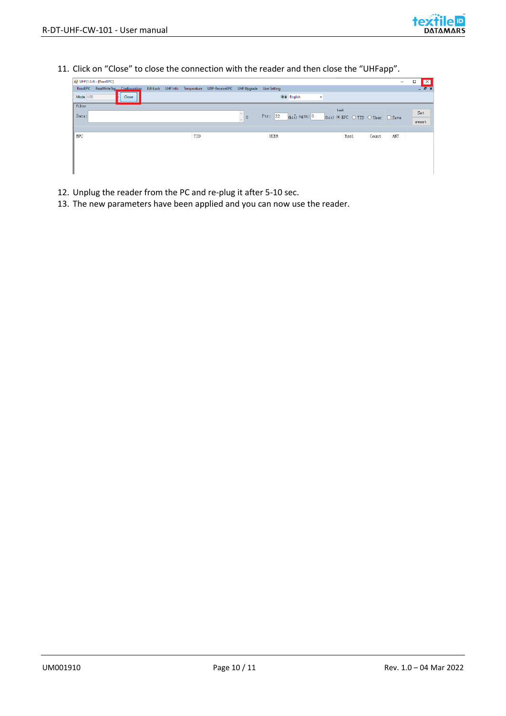11. Click on "Close" to close the connection with the reader and then close the "UHFapp".

| $\vert x \vert$<br>С |
|----------------------|
| $ \theta$ x          |
|                      |
|                      |
| Set                  |
| reset                |
|                      |
|                      |
|                      |
|                      |
|                      |
|                      |
|                      |
|                      |

- 12. Unplug the reader from the PC and re-plug it after 5-10 sec.
- 13. The new parameters have been applied and you can now use the reader.